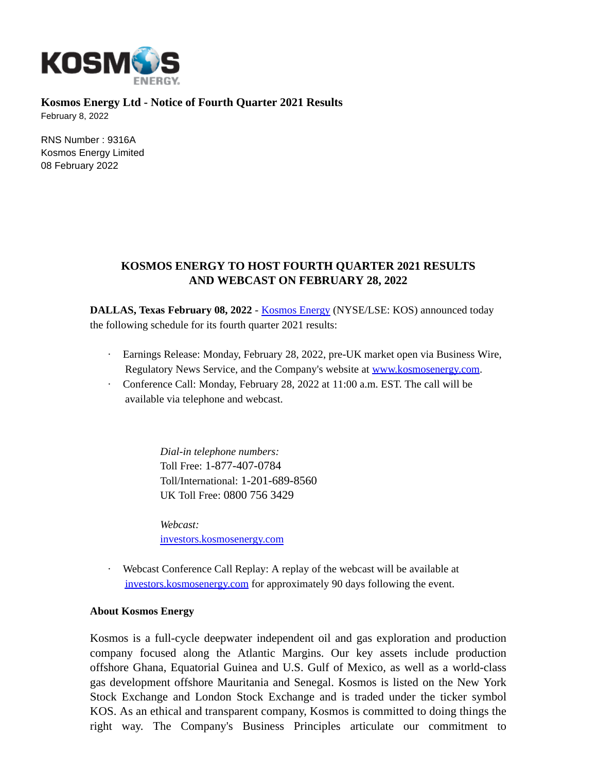

**Kosmos Energy Ltd - Notice of Fourth Quarter 2021 Results**

February 8, 2022

RNS Number : 9316A Kosmos Energy Limited 08 February 2022

## **KOSMOS ENERGY TO HOST FOURTH QUARTER 2021 RESULTS AND WEBCAST ON FEBRUARY 28, 2022**

**DALLAS, Texas February 08, 2022** - [Kosmos Energy \(](http://www.kosmosenergy.com/)NYSE/LSE: KOS) announced today the following schedule for its fourth quarter 2021 results:

- · Earnings Release: Monday, February 28, 2022, pre-UK market open via Business Wire, Regulatory News Service, and the Company's website at [www.kosmosenergy.com.](http://www.kosmosenergy.com/)
- · Conference Call: Monday, February 28, 2022 at 11:00 a.m. EST. The call will be available via telephone and webcast.

*Dial-in telephone numbers:* Toll Free: 1-877-407-0784 Toll/International: 1-201-689-8560 UK Toll Free: 0800 756 3429

*Webcast:* [investors.kosmosenergy.com](http://investors.kosmosenergy.com/phoenix.zhtml?c=238878&p=irol-IRHome)

· Webcast Conference Call Replay: A replay of the webcast will be available at [investors.kosmosenergy.com f](http://investors.kosmosenergy.com/phoenix.zhtml?c=238878&p=irol-IRHome)or approximately 90 days following the event.

### **About Kosmos Energy**

Kosmos is a full-cycle deepwater independent oil and gas exploration and production company focused along the Atlantic Margins. Our key assets include production offshore Ghana, Equatorial Guinea and U.S. Gulf of Mexico, as well as a world-class gas development offshore Mauritania and Senegal. Kosmos is listed on the New York Stock Exchange and London Stock Exchange and is traded under the ticker symbol KOS. As an ethical and transparent company, Kosmos is committed to doing things the right way. The Company's Business Principles articulate our commitment to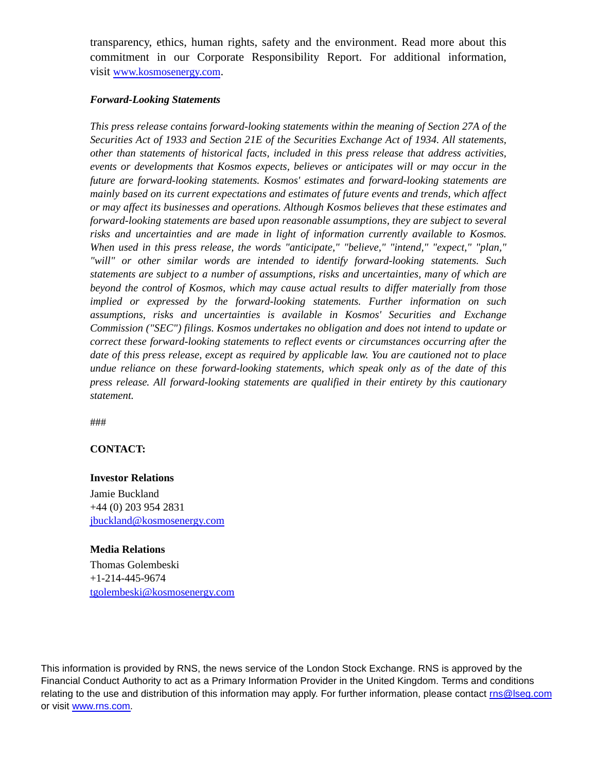transparency, ethics, human rights, safety and the environment. Read more about this commitment in our Corporate Responsibility Report. For additional information, visit [www.kosmosenergy.com](https://cts.businesswire.com/ct/CT?id=smartlink&url=http%3A%2F%2Fwww.kosmosenergy.com&esheet=52300145&newsitemid=20201004005039&lan=en-US&anchor=www.kosmosenergy.com&index=2&md5=51e917815539d130f3cdb2e33f1afa91).

#### *Forward-Looking Statements*

*This press release contains forward-looking statements within the meaning of Section 27A of the Securities Act of 1933 and Section 21E of the Securities Exchange Act of 1934. All statements, other than statements of historical facts, included in this press release that address activities, events or developments that Kosmos expects, believes or anticipates will or may occur in the future are forward-looking statements. Kosmos' estimates and forward-looking statements are mainly based on its current expectations and estimates of future events and trends, which affect or may affect its businesses and operations. Although Kosmos believes that these estimates and forward-looking statements are based upon reasonable assumptions, they are subject to several risks and uncertainties and are made in light of information currently available to Kosmos. When used in this press release, the words "anticipate," "believe," "intend," "expect," "plan," "will" or other similar words are intended to identify forward-looking statements. Such statements are subject to a number of assumptions, risks and uncertainties, many of which are beyond the control of Kosmos, which may cause actual results to differ materially from those implied or expressed by the forward-looking statements. Further information on such assumptions, risks and uncertainties is available in Kosmos' Securities and Exchange Commission ("SEC") filings. Kosmos undertakes no obligation and does not intend to update or correct these forward-looking statements to reflect events or circumstances occurring after the date of this press release, except as required by applicable law. You are cautioned not to place undue reliance on these forward-looking statements, which speak only as of the date of this press release. All forward-looking statements are qualified in their entirety by this cautionary statement.*

###

#### **CONTACT:**

# **Investor Relations**

Jamie Buckland +44 (0) 203 954 2831 [jbuckland@kosmosenergy.com](mailto:nshah@kosmosenergy.com)

#### **Media Relations**

Thomas Golembeski +1-214-445-9674 [tgolembeski@kosmosenergy.com](mailto:tgolembeski@kosmosenergy.com)

This information is provided by RNS, the news service of the London Stock Exchange. RNS is approved by the Financial Conduct Authority to act as a Primary Information Provider in the United Kingdom. Terms and conditions relating to the use and distribution of this information may apply. For further information, please contact [rns@lseg.com](mailto:rns@lseg.com) or visit [www.rns.com.](http://www.rns.com/)